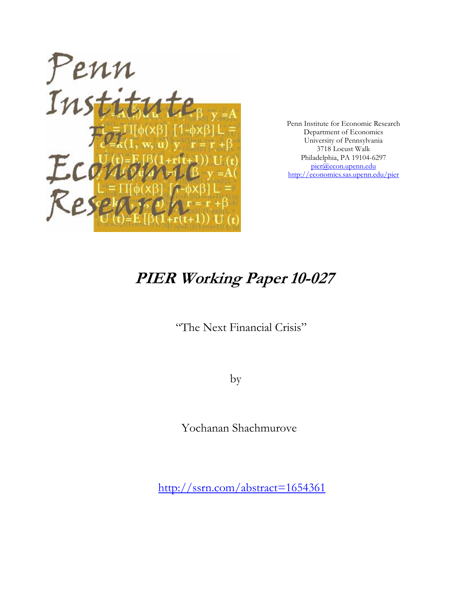

Penn Institute for Economic Research Department of Economics University of Pennsylvania 3718 Locust Walk Philadelphia, PA 19104-6297 pier@econ.upenn.edu http://economics.sas.upenn.edu/pier

# **PIER Working Paper 10-027**

"The Next Financial Crisis"

by

Yochanan Shachmurove

http://ssrn.com/abstract=1654361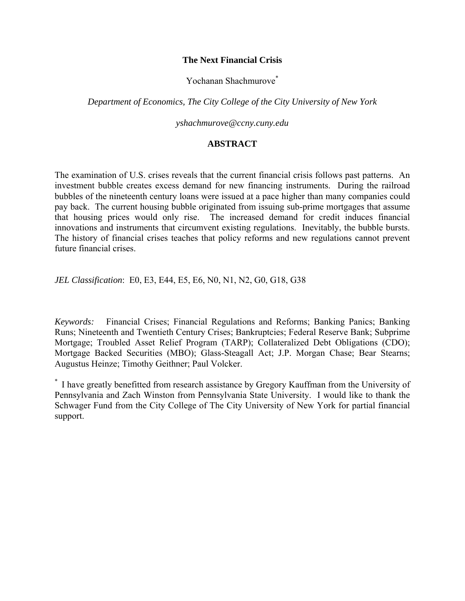### **The Next Financial Crisis**

Yochanan Shachmurove<sup>\*</sup>

*Department of Economics, The City College of the City University of New York* 

*yshachmurove@ccny.cuny.edu* 

# **ABSTRACT**

The examination of U.S. crises reveals that the current financial crisis follows past patterns. An investment bubble creates excess demand for new financing instruments. During the railroad bubbles of the nineteenth century loans were issued at a pace higher than many companies could pay back. The current housing bubble originated from issuing sub-prime mortgages that assume that housing prices would only rise. The increased demand for credit induces financial innovations and instruments that circumvent existing regulations. Inevitably, the bubble bursts. The history of financial crises teaches that policy reforms and new regulations cannot prevent future financial crises.

*JEL Classification*: E0, E3, E44, E5, E6, N0, N1, N2, G0, G18, G38

*Keywords:* Financial Crises; Financial Regulations and Reforms; Banking Panics; Banking Runs; Nineteenth and Twentieth Century Crises; Bankruptcies; Federal Reserve Bank; Subprime Mortgage; Troubled Asset Relief Program (TARP); Collateralized Debt Obligations (CDO); Mortgage Backed Securities (MBO); Glass-Steagall Act; J.P. Morgan Chase; Bear Stearns; Augustus Heinze; Timothy Geithner; Paul Volcker.

\* I have greatly benefitted from research assistance by Gregory Kauffman from the University of Pennsylvania and Zach Winston from Pennsylvania State University. I would like to thank the Schwager Fund from the City College of The City University of New York for partial financial support.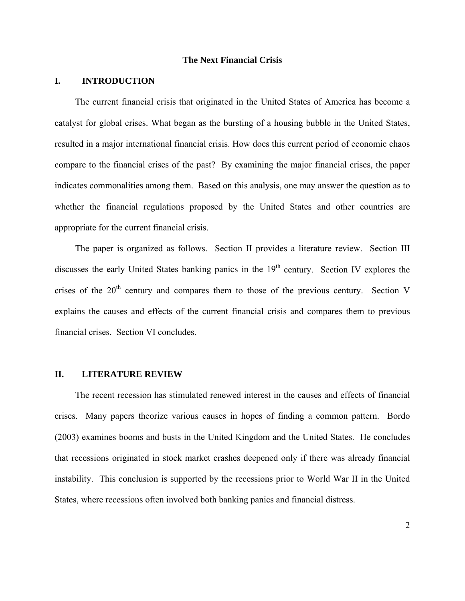### **The Next Financial Crisis**

## **I. INTRODUCTION**

The current financial crisis that originated in the United States of America has become a catalyst for global crises. What began as the bursting of a housing bubble in the United States, resulted in a major international financial crisis. How does this current period of economic chaos compare to the financial crises of the past? By examining the major financial crises, the paper indicates commonalities among them. Based on this analysis, one may answer the question as to whether the financial regulations proposed by the United States and other countries are appropriate for the current financial crisis.

The paper is organized as follows. Section II provides a literature review. Section III discusses the early United States banking panics in the 19<sup>th</sup> century. Section IV explores the crises of the  $20<sup>th</sup>$  century and compares them to those of the previous century. Section V explains the causes and effects of the current financial crisis and compares them to previous financial crises. Section VI concludes.

### **II. LITERATURE REVIEW**

The recent recession has stimulated renewed interest in the causes and effects of financial crises. Many papers theorize various causes in hopes of finding a common pattern. Bordo (2003) examines booms and busts in the United Kingdom and the United States. He concludes that recessions originated in stock market crashes deepened only if there was already financial instability. This conclusion is supported by the recessions prior to World War II in the United States, where recessions often involved both banking panics and financial distress.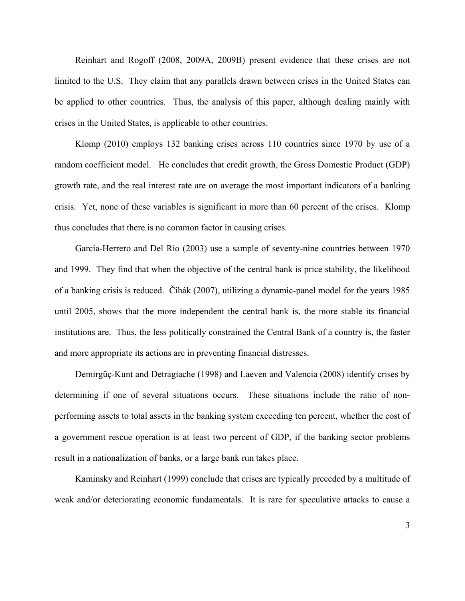Reinhart and Rogoff (2008, 2009A, 2009B) present evidence that these crises are not limited to the U.S. They claim that any parallels drawn between crises in the United States can be applied to other countries. Thus, the analysis of this paper, although dealing mainly with crises in the United States, is applicable to other countries.

Klomp (2010) employs 132 banking crises across 110 countries since 1970 by use of a random coefficient model. He concludes that credit growth, the Gross Domestic Product (GDP) growth rate, and the real interest rate are on average the most important indicators of a banking crisis. Yet, none of these variables is significant in more than 60 percent of the crises. Klomp thus concludes that there is no common factor in causing crises.

Garcia-Herrero and Del Rio (2003) use a sample of seventy-nine countries between 1970 and 1999. They find that when the objective of the central bank is price stability, the likelihood of a banking crisis is reduced. Čihák (2007), utilizing a dynamic-panel model for the years 1985 until 2005, shows that the more independent the central bank is, the more stable its financial institutions are. Thus, the less politically constrained the Central Bank of a country is, the faster and more appropriate its actions are in preventing financial distresses.

Demirgüç-Kunt and Detragiache (1998) and Laeven and Valencia (2008) identify crises by determining if one of several situations occurs. These situations include the ratio of nonperforming assets to total assets in the banking system exceeding ten percent, whether the cost of a government rescue operation is at least two percent of GDP, if the banking sector problems result in a nationalization of banks, or a large bank run takes place.

Kaminsky and Reinhart (1999) conclude that crises are typically preceded by a multitude of weak and/or deteriorating economic fundamentals. It is rare for speculative attacks to cause a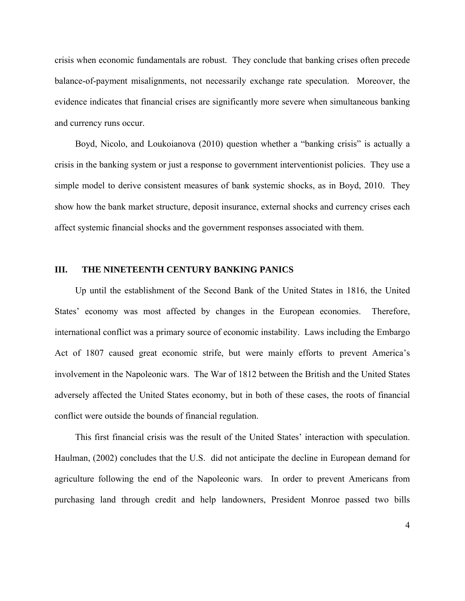crisis when economic fundamentals are robust. They conclude that banking crises often precede balance-of-payment misalignments, not necessarily exchange rate speculation. Moreover, the evidence indicates that financial crises are significantly more severe when simultaneous banking and currency runs occur.

Boyd, Nicolo, and Loukoianova (2010) question whether a "banking crisis" is actually a crisis in the banking system or just a response to government interventionist policies. They use a simple model to derive consistent measures of bank systemic shocks, as in Boyd, 2010. They show how the bank market structure, deposit insurance, external shocks and currency crises each affect systemic financial shocks and the government responses associated with them.

### **III. THE NINETEENTH CENTURY BANKING PANICS**

Up until the establishment of the Second Bank of the United States in 1816, the United States' economy was most affected by changes in the European economies. Therefore, international conflict was a primary source of economic instability. Laws including the Embargo Act of 1807 caused great economic strife, but were mainly efforts to prevent America's involvement in the Napoleonic wars. The War of 1812 between the British and the United States adversely affected the United States economy, but in both of these cases, the roots of financial conflict were outside the bounds of financial regulation.

This first financial crisis was the result of the United States' interaction with speculation. Haulman, (2002) concludes that the U.S. did not anticipate the decline in European demand for agriculture following the end of the Napoleonic wars. In order to prevent Americans from purchasing land through credit and help landowners, President Monroe passed two bills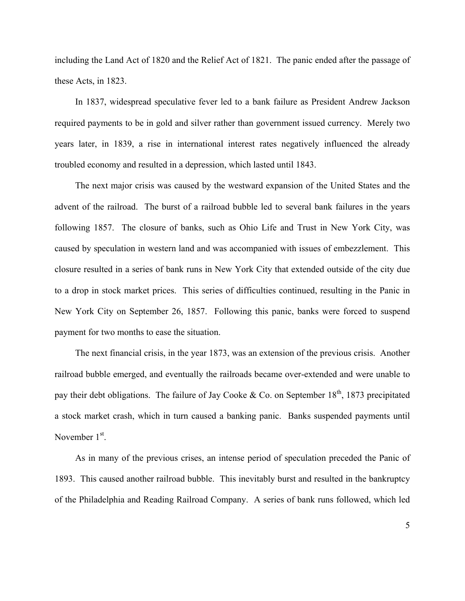including the Land Act of 1820 and the Relief Act of 1821. The panic ended after the passage of these Acts, in 1823.

In 1837, widespread speculative fever led to a bank failure as President Andrew Jackson required payments to be in gold and silver rather than government issued currency. Merely two years later, in 1839, a rise in international interest rates negatively influenced the already troubled economy and resulted in a depression, which lasted until 1843.

The next major crisis was caused by the westward expansion of the United States and the advent of the railroad. The burst of a railroad bubble led to several bank failures in the years following 1857. The closure of banks, such as Ohio Life and Trust in New York City, was caused by speculation in western land and was accompanied with issues of embezzlement. This closure resulted in a series of bank runs in New York City that extended outside of the city due to a drop in stock market prices. This series of difficulties continued, resulting in the Panic in New York City on September 26, 1857. Following this panic, banks were forced to suspend payment for two months to ease the situation.

The next financial crisis, in the year 1873, was an extension of the previous crisis. Another railroad bubble emerged, and eventually the railroads became over-extended and were unable to pay their debt obligations. The failure of Jay Cooke & Co. on September  $18<sup>th</sup>$ , 1873 precipitated a stock market crash, which in turn caused a banking panic. Banks suspended payments until November 1<sup>st</sup>.

As in many of the previous crises, an intense period of speculation preceded the Panic of 1893. This caused another railroad bubble. This inevitably burst and resulted in the bankruptcy of the Philadelphia and Reading Railroad Company. A series of bank runs followed, which led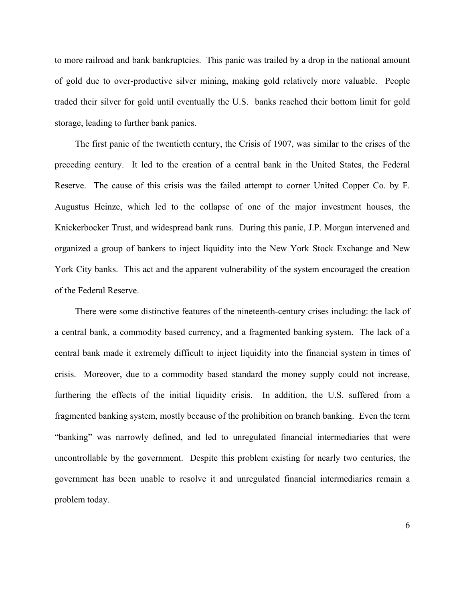to more railroad and bank bankruptcies. This panic was trailed by a drop in the national amount of gold due to over-productive silver mining, making gold relatively more valuable. People traded their silver for gold until eventually the U.S. banks reached their bottom limit for gold storage, leading to further bank panics.

The first panic of the twentieth century, the Crisis of 1907, was similar to the crises of the preceding century. It led to the creation of a central bank in the United States, the Federal Reserve. The cause of this crisis was the failed attempt to corner United Copper Co. by F. Augustus Heinze, which led to the collapse of one of the major investment houses, the Knickerbocker Trust, and widespread bank runs. During this panic, J.P. Morgan intervened and organized a group of bankers to inject liquidity into the New York Stock Exchange and New York City banks. This act and the apparent vulnerability of the system encouraged the creation of the Federal Reserve.

There were some distinctive features of the nineteenth-century crises including: the lack of a central bank, a commodity based currency, and a fragmented banking system. The lack of a central bank made it extremely difficult to inject liquidity into the financial system in times of crisis. Moreover, due to a commodity based standard the money supply could not increase, furthering the effects of the initial liquidity crisis. In addition, the U.S. suffered from a fragmented banking system, mostly because of the prohibition on branch banking. Even the term "banking" was narrowly defined, and led to unregulated financial intermediaries that were uncontrollable by the government. Despite this problem existing for nearly two centuries, the government has been unable to resolve it and unregulated financial intermediaries remain a problem today.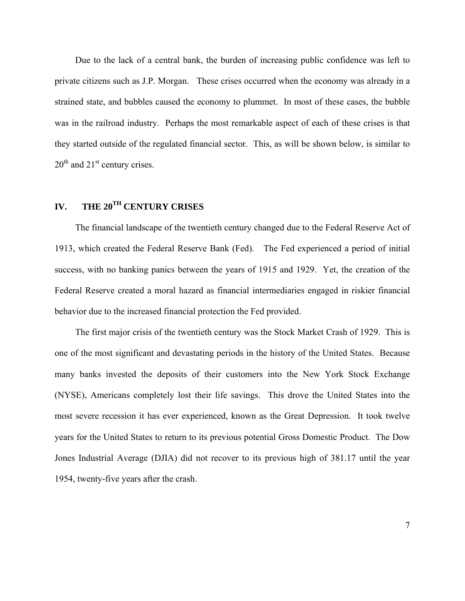Due to the lack of a central bank, the burden of increasing public confidence was left to private citizens such as J.P. Morgan. These crises occurred when the economy was already in a strained state, and bubbles caused the economy to plummet. In most of these cases, the bubble was in the railroad industry. Perhaps the most remarkable aspect of each of these crises is that they started outside of the regulated financial sector. This, as will be shown below, is similar to  $20<sup>th</sup>$  and  $21<sup>st</sup>$  century crises.

# **IV. THE 20TH CENTURY CRISES**

The financial landscape of the twentieth century changed due to the Federal Reserve Act of 1913, which created the Federal Reserve Bank (Fed). The Fed experienced a period of initial success, with no banking panics between the years of 1915 and 1929. Yet, the creation of the Federal Reserve created a moral hazard as financial intermediaries engaged in riskier financial behavior due to the increased financial protection the Fed provided.

The first major crisis of the twentieth century was the Stock Market Crash of 1929. This is one of the most significant and devastating periods in the history of the United States. Because many banks invested the deposits of their customers into the New York Stock Exchange (NYSE), Americans completely lost their life savings. This drove the United States into the most severe recession it has ever experienced, known as the Great Depression. It took twelve years for the United States to return to its previous potential Gross Domestic Product. The Dow Jones Industrial Average (DJIA) did not recover to its previous high of 381.17 until the year 1954, twenty-five years after the crash.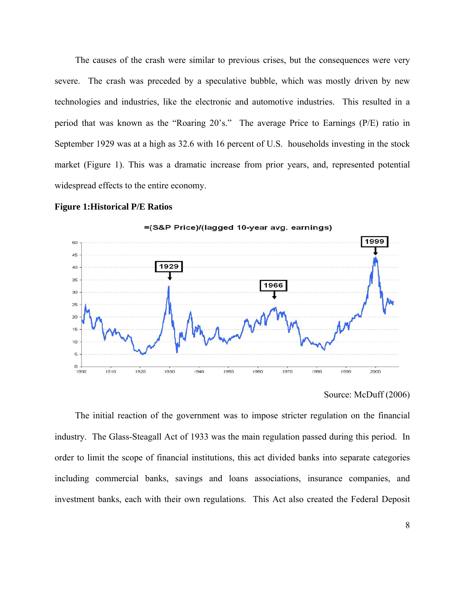The causes of the crash were similar to previous crises, but the consequences were very severe. The crash was preceded by a speculative bubble, which was mostly driven by new technologies and industries, like the electronic and automotive industries. This resulted in a period that was known as the "Roaring 20's." The average Price to Earnings (P/E) ratio in September 1929 was at a high as 32.6 with 16 percent of U.S. households investing in the stock market (Figure 1). This was a dramatic increase from prior years, and, represented potential widespread effects to the entire economy.

### **Figure 1:Historical P/E Ratios**







The initial reaction of the government was to impose stricter regulation on the financial industry. The Glass-Steagall Act of 1933 was the main regulation passed during this period. In order to limit the scope of financial institutions, this act divided banks into separate categories including commercial banks, savings and loans associations, insurance companies, and investment banks, each with their own regulations. This Act also created the Federal Deposit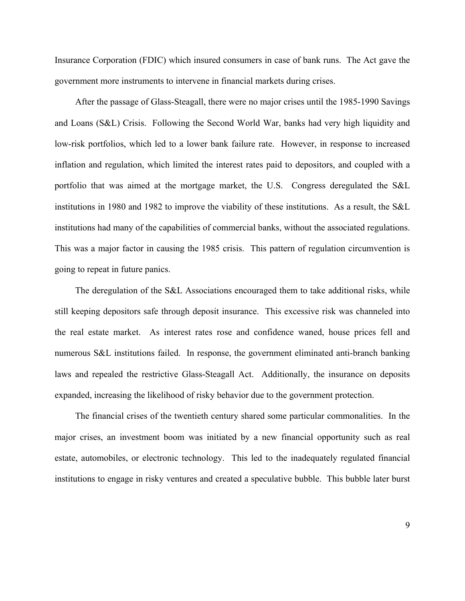Insurance Corporation (FDIC) which insured consumers in case of bank runs. The Act gave the government more instruments to intervene in financial markets during crises.

After the passage of Glass-Steagall, there were no major crises until the 1985-1990 Savings and Loans (S&L) Crisis. Following the Second World War, banks had very high liquidity and low-risk portfolios, which led to a lower bank failure rate. However, in response to increased inflation and regulation, which limited the interest rates paid to depositors, and coupled with a portfolio that was aimed at the mortgage market, the U.S. Congress deregulated the S&L institutions in 1980 and 1982 to improve the viability of these institutions. As a result, the S&L institutions had many of the capabilities of commercial banks, without the associated regulations. This was a major factor in causing the 1985 crisis. This pattern of regulation circumvention is going to repeat in future panics.

The deregulation of the S&L Associations encouraged them to take additional risks, while still keeping depositors safe through deposit insurance. This excessive risk was channeled into the real estate market. As interest rates rose and confidence waned, house prices fell and numerous S&L institutions failed. In response, the government eliminated anti-branch banking laws and repealed the restrictive Glass-Steagall Act. Additionally, the insurance on deposits expanded, increasing the likelihood of risky behavior due to the government protection.

The financial crises of the twentieth century shared some particular commonalities. In the major crises, an investment boom was initiated by a new financial opportunity such as real estate, automobiles, or electronic technology. This led to the inadequately regulated financial institutions to engage in risky ventures and created a speculative bubble. This bubble later burst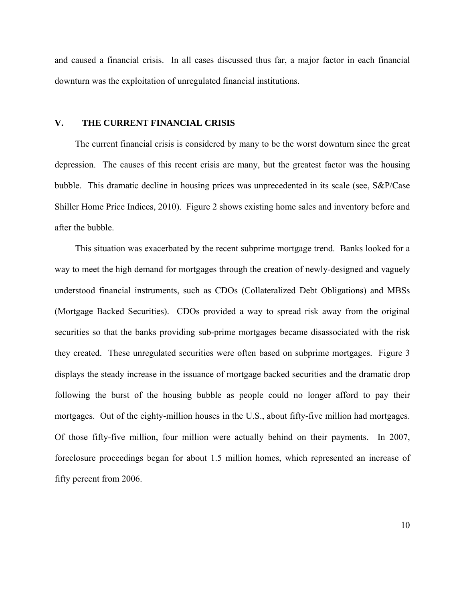and caused a financial crisis. In all cases discussed thus far, a major factor in each financial downturn was the exploitation of unregulated financial institutions.

### **V. THE CURRENT FINANCIAL CRISIS**

The current financial crisis is considered by many to be the worst downturn since the great depression. The causes of this recent crisis are many, but the greatest factor was the housing bubble. This dramatic decline in housing prices was unprecedented in its scale (see, S&P/Case Shiller Home Price Indices, 2010). Figure 2 shows existing home sales and inventory before and after the bubble.

This situation was exacerbated by the recent subprime mortgage trend. Banks looked for a way to meet the high demand for mortgages through the creation of newly-designed and vaguely understood financial instruments, such as CDOs (Collateralized Debt Obligations) and MBSs (Mortgage Backed Securities). CDOs provided a way to spread risk away from the original securities so that the banks providing sub-prime mortgages became disassociated with the risk they created. These unregulated securities were often based on subprime mortgages. Figure 3 displays the steady increase in the issuance of mortgage backed securities and the dramatic drop following the burst of the housing bubble as people could no longer afford to pay their mortgages. Out of the eighty-million houses in the U.S., about fifty-five million had mortgages. Of those fifty-five million, four million were actually behind on their payments. In 2007, foreclosure proceedings began for about 1.5 million homes, which represented an increase of fifty percent from 2006.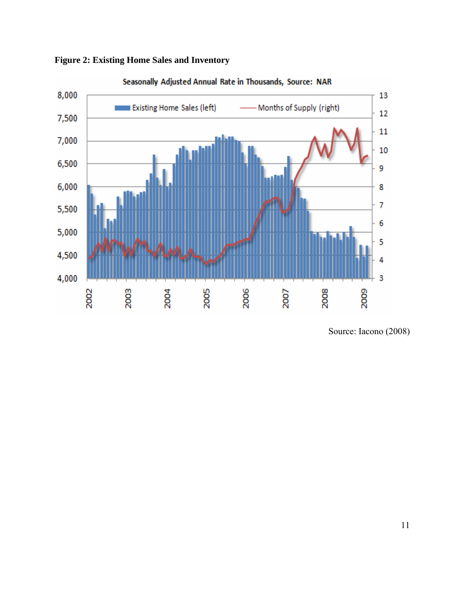

**Figure 2: Existing Home Sales and Inventory** 

Source: Iacono (2008)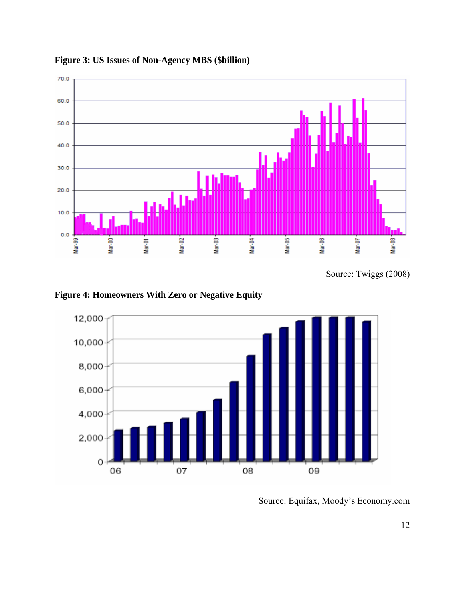

**Figure 3: US Issues of Non-Agency MBS (\$billion)** 

Source: Twiggs (2008)

**Figure 4: Homeowners With Zero or Negative Equity** 



Source: Equifax, Moody's Economy.com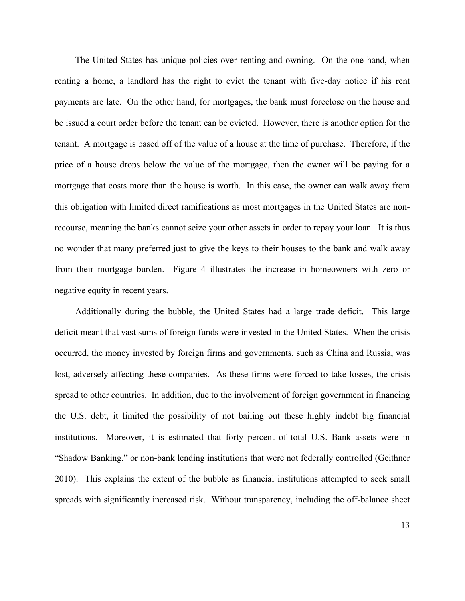The United States has unique policies over renting and owning. On the one hand, when renting a home, a landlord has the right to evict the tenant with five-day notice if his rent payments are late. On the other hand, for mortgages, the bank must foreclose on the house and be issued a court order before the tenant can be evicted. However, there is another option for the tenant. A mortgage is based off of the value of a house at the time of purchase. Therefore, if the price of a house drops below the value of the mortgage, then the owner will be paying for a mortgage that costs more than the house is worth. In this case, the owner can walk away from this obligation with limited direct ramifications as most mortgages in the United States are nonrecourse, meaning the banks cannot seize your other assets in order to repay your loan. It is thus no wonder that many preferred just to give the keys to their houses to the bank and walk away from their mortgage burden. Figure 4 illustrates the increase in homeowners with zero or negative equity in recent years.

Additionally during the bubble, the United States had a large trade deficit. This large deficit meant that vast sums of foreign funds were invested in the United States. When the crisis occurred, the money invested by foreign firms and governments, such as China and Russia, was lost, adversely affecting these companies. As these firms were forced to take losses, the crisis spread to other countries. In addition, due to the involvement of foreign government in financing the U.S. debt, it limited the possibility of not bailing out these highly indebt big financial institutions. Moreover, it is estimated that forty percent of total U.S. Bank assets were in "Shadow Banking," or non-bank lending institutions that were not federally controlled (Geithner 2010). This explains the extent of the bubble as financial institutions attempted to seek small spreads with significantly increased risk. Without transparency, including the off-balance sheet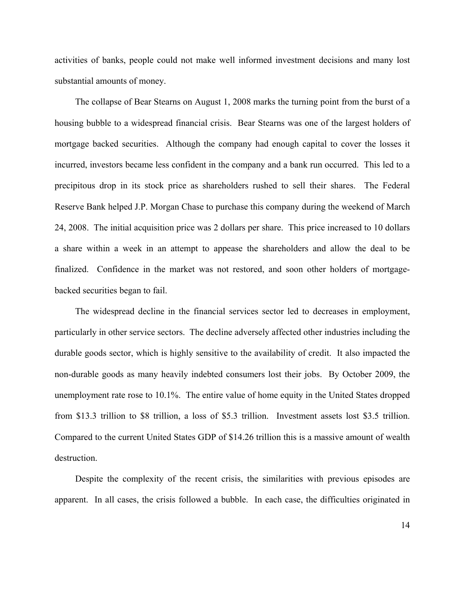activities of banks, people could not make well informed investment decisions and many lost substantial amounts of money.

 The collapse of Bear Stearns on August 1, 2008 marks the turning point from the burst of a housing bubble to a widespread financial crisis. Bear Stearns was one of the largest holders of mortgage backed securities. Although the company had enough capital to cover the losses it incurred, investors became less confident in the company and a bank run occurred. This led to a precipitous drop in its stock price as shareholders rushed to sell their shares. The Federal Reserve Bank helped J.P. Morgan Chase to purchase this company during the weekend of March 24, 2008. The initial acquisition price was 2 dollars per share. This price increased to 10 dollars a share within a week in an attempt to appease the shareholders and allow the deal to be finalized. Confidence in the market was not restored, and soon other holders of mortgagebacked securities began to fail.

 The widespread decline in the financial services sector led to decreases in employment, particularly in other service sectors. The decline adversely affected other industries including the durable goods sector, which is highly sensitive to the availability of credit. It also impacted the non-durable goods as many heavily indebted consumers lost their jobs. By October 2009, the unemployment rate rose to 10.1%. The entire value of home equity in the United States dropped from \$13.3 trillion to \$8 trillion, a loss of \$5.3 trillion. Investment assets lost \$3.5 trillion. Compared to the current United States GDP of \$14.26 trillion this is a massive amount of wealth destruction.

 Despite the complexity of the recent crisis, the similarities with previous episodes are apparent. In all cases, the crisis followed a bubble. In each case, the difficulties originated in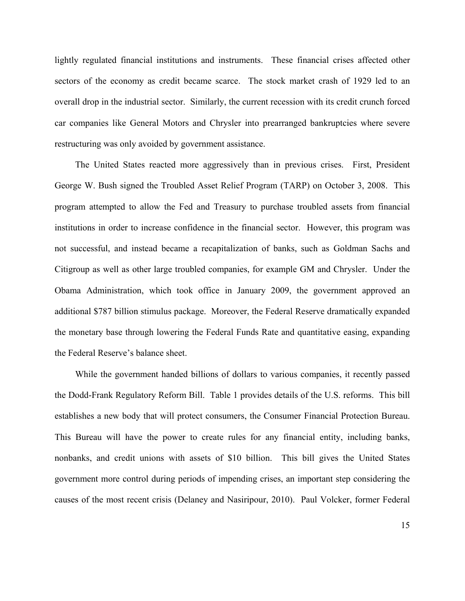lightly regulated financial institutions and instruments. These financial crises affected other sectors of the economy as credit became scarce. The stock market crash of 1929 led to an overall drop in the industrial sector. Similarly, the current recession with its credit crunch forced car companies like General Motors and Chrysler into prearranged bankruptcies where severe restructuring was only avoided by government assistance.

 The United States reacted more aggressively than in previous crises. First, President George W. Bush signed the Troubled Asset Relief Program (TARP) on October 3, 2008. This program attempted to allow the Fed and Treasury to purchase troubled assets from financial institutions in order to increase confidence in the financial sector. However, this program was not successful, and instead became a recapitalization of banks, such as Goldman Sachs and Citigroup as well as other large troubled companies, for example GM and Chrysler. Under the Obama Administration, which took office in January 2009, the government approved an additional \$787 billion stimulus package. Moreover, the Federal Reserve dramatically expanded the monetary base through lowering the Federal Funds Rate and quantitative easing, expanding the Federal Reserve's balance sheet.

 While the government handed billions of dollars to various companies, it recently passed the Dodd-Frank Regulatory Reform Bill. Table 1 provides details of the U.S. reforms. This bill establishes a new body that will protect consumers, the Consumer Financial Protection Bureau. This Bureau will have the power to create rules for any financial entity, including banks, nonbanks, and credit unions with assets of \$10 billion. This bill gives the United States government more control during periods of impending crises, an important step considering the causes of the most recent crisis (Delaney and Nasiripour, 2010). Paul Volcker, former Federal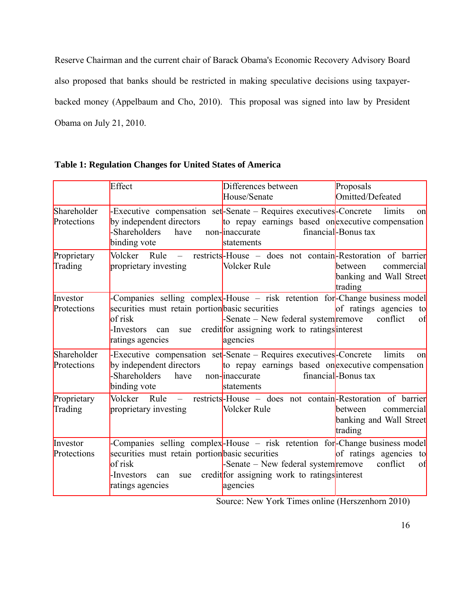Reserve Chairman and the current chair of Barack Obama's Economic Recovery Advisory Board also proposed that banks should be restricted in making speculative decisions using taxpayerbacked money (Appelbaum and Cho, 2010). This proposal was signed into law by President Obama on July 21, 2010.

|                            | Effect                                                                                                     | Differences between<br>House/Senate                                                                                                                                               | Proposals<br>Omitted/Defeated                               |
|----------------------------|------------------------------------------------------------------------------------------------------------|-----------------------------------------------------------------------------------------------------------------------------------------------------------------------------------|-------------------------------------------------------------|
| Shareholder<br>Protections | by independent directors<br>-Shareholders<br>have<br>binding vote                                          | -Executive compensation set-Senate – Requires executives-Concrete<br>to repay earnings based onexecutive compensation<br>non-inaccurate<br>statements                             | limits<br>on<br>financial-Bonus tax                         |
| Proprietary<br>Trading     | $Rule -$<br>Volcker<br>proprietary investing                                                               | restricts-House – does not contain-Restoration of barrier<br>Volcker Rule                                                                                                         | between<br>commercial<br>banking and Wall Street<br>trading |
| Investor<br>Protections    | securities must retain portion basic securities<br>of risk<br>-Investors<br>can<br>sue<br>ratings agencies | -Companies selling complex-House – risk retention for-Change business model<br>-Senate – New federal system remove<br>credit for assigning work to ratings interest<br>agencies   | of ratings agencies to<br>conflict<br>of                    |
| Shareholder<br>Protections | by independent directors<br>-Shareholders<br>have<br>binding vote                                          | -Executive compensation set-Senate – Requires executives-Concrete<br>to repay earnings based onexecutive compensation<br>non-inaccurate<br>statements                             | limits<br>on<br>financial-Bonus tax                         |
| Proprietary<br>Trading     | proprietary investing                                                                                      | Volcker Rule – restricts-House – does not contain-Restoration of barrier<br>Volcker Rule                                                                                          | between<br>commercial<br>banking and Wall Street<br>trading |
| Investor<br>Protections    | securities must retain portion basic securities<br>of risk<br>-Investors<br>can<br>sue<br>ratings agencies | -Companies selling complex-House – risk retention for-Change business model<br>-Senate $-$ New federal system remove<br>credit for assigning work to ratings interest<br>agencies | of ratings agencies to<br>conflict<br>of                    |

| <b>Table 1: Regulation Changes for United States of America</b> |  |  |
|-----------------------------------------------------------------|--|--|
|                                                                 |  |  |

Source: New York Times online (Herszenhorn 2010)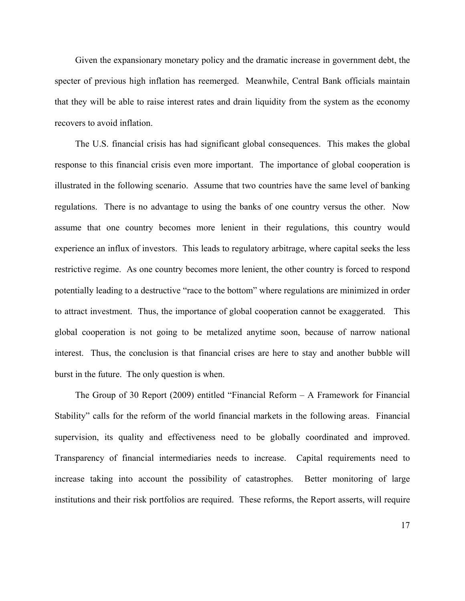Given the expansionary monetary policy and the dramatic increase in government debt, the specter of previous high inflation has reemerged. Meanwhile, Central Bank officials maintain that they will be able to raise interest rates and drain liquidity from the system as the economy recovers to avoid inflation.

The U.S. financial crisis has had significant global consequences. This makes the global response to this financial crisis even more important. The importance of global cooperation is illustrated in the following scenario. Assume that two countries have the same level of banking regulations. There is no advantage to using the banks of one country versus the other. Now assume that one country becomes more lenient in their regulations, this country would experience an influx of investors. This leads to regulatory arbitrage, where capital seeks the less restrictive regime. As one country becomes more lenient, the other country is forced to respond potentially leading to a destructive "race to the bottom" where regulations are minimized in order to attract investment. Thus, the importance of global cooperation cannot be exaggerated. This global cooperation is not going to be metalized anytime soon, because of narrow national interest. Thus, the conclusion is that financial crises are here to stay and another bubble will burst in the future. The only question is when.

The Group of 30 Report (2009) entitled "Financial Reform – A Framework for Financial Stability" calls for the reform of the world financial markets in the following areas. Financial supervision, its quality and effectiveness need to be globally coordinated and improved. Transparency of financial intermediaries needs to increase. Capital requirements need to increase taking into account the possibility of catastrophes. Better monitoring of large institutions and their risk portfolios are required. These reforms, the Report asserts, will require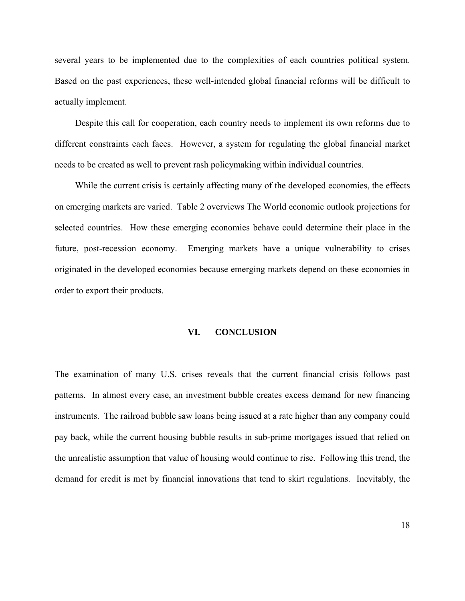several years to be implemented due to the complexities of each countries political system. Based on the past experiences, these well-intended global financial reforms will be difficult to actually implement.

Despite this call for cooperation, each country needs to implement its own reforms due to different constraints each faces. However, a system for regulating the global financial market needs to be created as well to prevent rash policymaking within individual countries.

While the current crisis is certainly affecting many of the developed economies, the effects on emerging markets are varied. Table 2 overviews The World economic outlook projections for selected countries. How these emerging economies behave could determine their place in the future, post-recession economy. Emerging markets have a unique vulnerability to crises originated in the developed economies because emerging markets depend on these economies in order to export their products.

### **VI. CONCLUSION**

The examination of many U.S. crises reveals that the current financial crisis follows past patterns. In almost every case, an investment bubble creates excess demand for new financing instruments. The railroad bubble saw loans being issued at a rate higher than any company could pay back, while the current housing bubble results in sub-prime mortgages issued that relied on the unrealistic assumption that value of housing would continue to rise. Following this trend, the demand for credit is met by financial innovations that tend to skirt regulations. Inevitably, the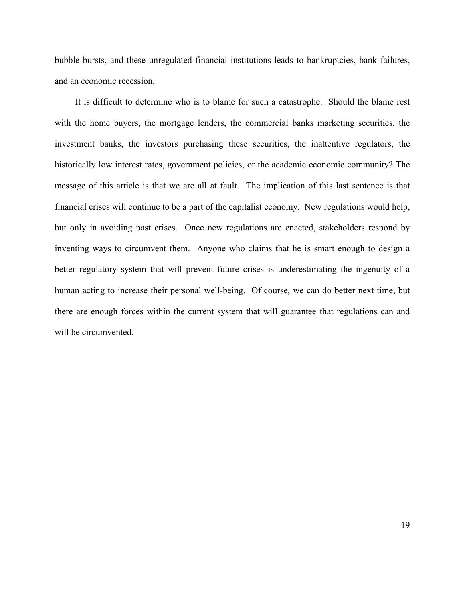bubble bursts, and these unregulated financial institutions leads to bankruptcies, bank failures, and an economic recession.

It is difficult to determine who is to blame for such a catastrophe. Should the blame rest with the home buyers, the mortgage lenders, the commercial banks marketing securities, the investment banks, the investors purchasing these securities, the inattentive regulators, the historically low interest rates, government policies, or the academic economic community? The message of this article is that we are all at fault. The implication of this last sentence is that financial crises will continue to be a part of the capitalist economy. New regulations would help, but only in avoiding past crises. Once new regulations are enacted, stakeholders respond by inventing ways to circumvent them. Anyone who claims that he is smart enough to design a better regulatory system that will prevent future crises is underestimating the ingenuity of a human acting to increase their personal well-being. Of course, we can do better next time, but there are enough forces within the current system that will guarantee that regulations can and will be circumvented.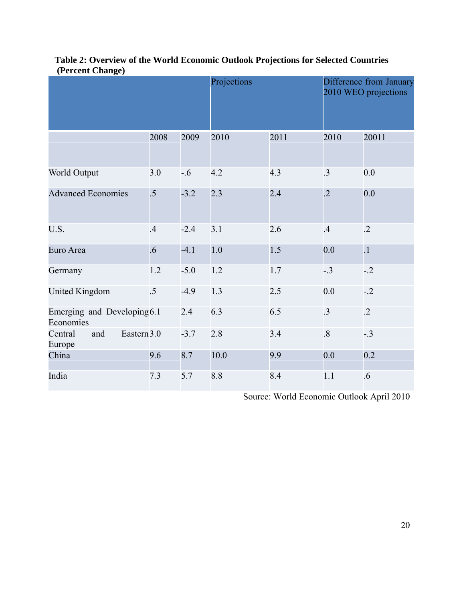| $($ - - - - - - - - - - - - - - - - $\frac{1}{2}$ - $\frac{1}{2}$ |                 |        | Projections |      | Difference from January<br>2010 WEO projections |                 |
|-------------------------------------------------------------------|-----------------|--------|-------------|------|-------------------------------------------------|-----------------|
|                                                                   | 2008            | 2009   | 2010        | 2011 | 2010                                            | 20011           |
| World Output                                                      | 3.0             | $-0.6$ | 4.2         | 4.3  | .3                                              | 0.0             |
| <b>Advanced Economies</b>                                         | $\overline{.5}$ | $-3.2$ | 2.3         | 2.4  | $\overline{.2}$                                 | 0.0             |
| U.S.                                                              | .4              | $-2.4$ | 3.1         | 2.6  | .4                                              | $\cdot$ .2      |
| Euro Area                                                         | $.6\phantom{0}$ | $-4.1$ | 1.0         | 1.5  | 0.0                                             | $\overline{.1}$ |
| Germany                                                           | 1.2             | $-5.0$ | $1.2\,$     | 1.7  | $-.3$                                           | $-2$            |
| <b>United Kingdom</b>                                             | $.5\,$          | $-4.9$ | 1.3         | 2.5  | 0.0                                             | $-.2$           |
| Emerging and Developing6.1<br>Economies                           |                 | 2.4    | 6.3         | 6.5  | $\cdot$ 3                                       | $\cdot$ .2      |
| Eastern 3.0<br>Central<br>and<br>Europe                           |                 | $-3.7$ | 2.8         | 3.4  | $\overline{8}$                                  | $-.3$           |
| China                                                             | 9.6             | 8.7    | 10.0        | 9.9  | 0.0                                             | 0.2             |
| India                                                             | 7.3             | 5.7    | 8.8         | 8.4  | 1.1                                             | $.6\,$          |

# **Table 2: Overview of the World Economic Outlook Projections for Selected Countries (Percent Change)**

Source: World Economic Outlook April 2010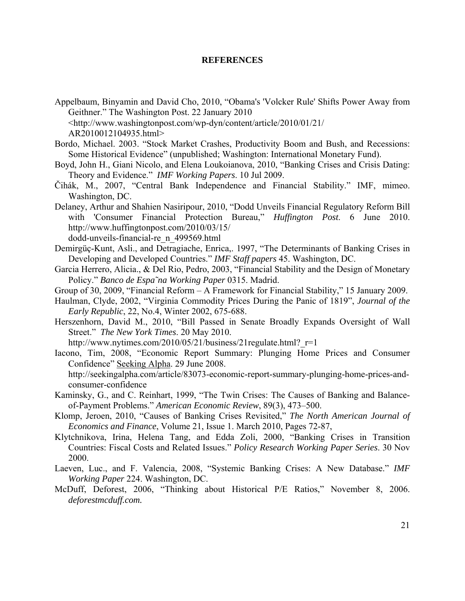#### **REFERENCES**

- Appelbaum, Binyamin and David Cho, 2010, "Obama's 'Volcker Rule' Shifts Power Away from Geithner." The Washington Post. 22 January 2010 <http://www.washingtonpost.com/wp-dyn/content/article/2010/01/21/ AR2010012104935.html>
- Bordo, Michael. 2003. "Stock Market Crashes, Productivity Boom and Bush, and Recessions: Some Historical Evidence" (unpublished; Washington: International Monetary Fund).
- Boyd, John H., Giani Nicolo, and Elena Loukoianova, 2010, "Banking Crises and Crisis Dating: Theory and Evidence." *IMF Working Papers*. 10 Jul 2009.
- Čihák, M., 2007, "Central Bank Independence and Financial Stability." IMF, mimeo. Washington, DC.
- Delaney, Arthur and Shahien Nasiripour, 2010, "Dodd Unveils Financial Regulatory Reform Bill with 'Consumer Financial Protection Bureau," *Huffington Post*. 6 June 2010. http://www.huffingtonpost.com/2010/03/15/ dodd-unveils-financial-re\_n\_499569.html
- Demirgüç-Kunt, Asli., and Detragiache, Enrica,. 1997, "The Determinants of Banking Crises in Developing and Developed Countries." *IMF Staff papers* 45. Washington, DC.
- Garcia Herrero, Alicia., & Del Rio, Pedro, 2003, "Financial Stability and the Design of Monetary Policy." *Banco de Espa˜na Working Paper* 0315. Madrid.
- Group of 30, 2009, "Financial Reform A Framework for Financial Stability," 15 January 2009.
- Haulman, Clyde, 2002, "Virginia Commodity Prices During the Panic of 1819", *Journal of the Early Republic*, 22, No.4, Winter 2002, 675-688.
- Herszenhorn, David M., 2010, "Bill Passed in Senate Broadly Expands Oversight of Wall Street." *The New York Times*. 20 May 2010.

http://www.nytimes.com/2010/05/21/business/21regulate.html? $r=1$ 

- Iacono, Tim, 2008, "Economic Report Summary: Plunging Home Prices and Consumer Confidence" Seeking Alpha. 29 June 2008. http://seekingalpha.com/article/83073-economic-report-summary-plunging-home-prices-andconsumer-confidence
- Kaminsky, G., and C. Reinhart, 1999, "The Twin Crises: The Causes of Banking and Balanceof-Payment Problems." *American Economic Review*, 89(3), 473–500.
- Klomp, Jeroen, 2010, "Causes of Banking Crises Revisited," *The North American Journal of Economics and Finance*, Volume 21, Issue 1. March 2010, Pages 72-87,
- Klytchnikova, Irina, Helena Tang, and Edda Zoli, 2000, "Banking Crises in Transition Countries: Fiscal Costs and Related Issues." *Policy Research Working Paper Series*. 30 Nov 2000.
- Laeven, Luc., and F. Valencia, 2008, "Systemic Banking Crises: A New Database." *IMF Working Paper* 224. Washington, DC.
- McDuff, Deforest, 2006, "Thinking about Historical P/E Ratios," November 8, 2006. *deforestmcduff.com.*